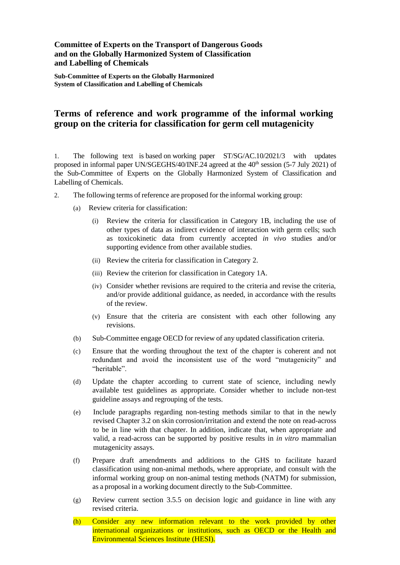## **Committee of Experts on the Transport of Dangerous Goods and on the Globally Harmonized System of Classification and Labelling of Chemicals**

**Sub-Committee of Experts on the Globally Harmonized System of Classification and Labelling of Chemicals**

## **Terms of reference and work programme of the informal working group on the criteria for classification for germ cell mutagenicity**

1. The following text is based on working paper ST/SG/AC.10/2021/3 with updates proposed in informal paper UN/SGEGHS/40/INF.24 agreed at the 40<sup>th</sup> session (5-7 July 2021) of the Sub-Committee of Experts on the Globally Harmonized System of Classification and Labelling of Chemicals.

- 2. The following terms of reference are proposed for the informal working group:
	- (a) Review criteria for classification:
		- (i) Review the criteria for classification in Category 1B, including the use of other types of data as indirect evidence of interaction with germ cells; such as toxicokinetic data from currently accepted *in vivo* studies and/or supporting evidence from other available studies.
		- (ii) Review the criteria for classification in Category 2.
		- (iii) Review the criterion for classification in Category 1A.
		- (iv) Consider whether revisions are required to the criteria and revise the criteria, and/or provide additional guidance, as needed, in accordance with the results of the review.
		- (v) Ensure that the criteria are consistent with each other following any revisions.
	- (b) Sub-Committee engage OECD for review of any updated classification criteria.
	- (c) Ensure that the wording throughout the text of the chapter is coherent and not redundant and avoid the inconsistent use of the word "mutagenicity" and "heritable".
	- (d) Update the chapter according to current state of science, including newly available test guidelines as appropriate. Consider whether to include non-test guideline assays and regrouping of the tests.
	- (e) Include paragraphs regarding non-testing methods similar to that in the newly revised Chapter 3.2 on skin corrosion/irritation and extend the note on read-across to be in line with that chapter. In addition, indicate that, when appropriate and valid, a read-across can be supported by positive results in *in vitro* mammalian mutagenicity assays.
	- (f) Prepare draft amendments and additions to the GHS to facilitate hazard classification using non-animal methods, where appropriate, and consult with the informal working group on non-animal testing methods (NATM) for submission, as a proposal in a working document directly to the Sub-Committee.
	- (g) Review current section 3.5.5 on decision logic and guidance in line with any revised criteria.
	- (h) Consider any new information relevant to the work provided by other international organizations or institutions, such as OECD or the Health and Environmental Sciences Institute (HESI).